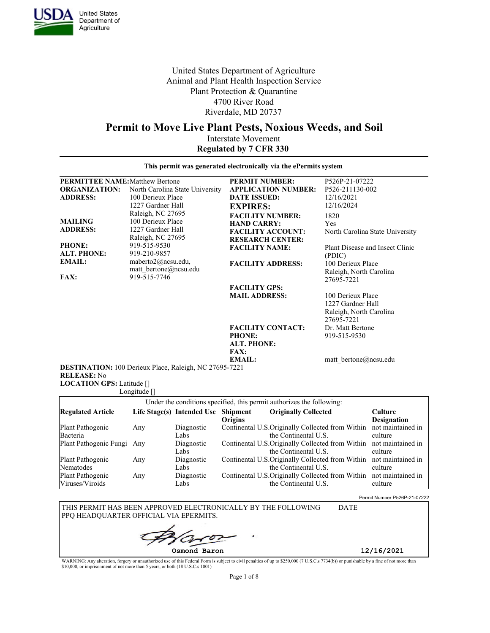

United States Department of **Agriculture** 

**LOCATION GPS: Latitude []** 

United States Department of Agriculture Animal and Plant Health Inspection Service Plant Protection & Quarantine 4700 River Road Riverdale, MD 20737

# **Permit to Move Live Plant Pests, Noxious Weeds, and Soil**

Interstate Movement **Regulated by 7 CFR 330**

| <b>PERMITTEE NAME:</b> Matthew Bertone  |                                                                                                | <b>PERMIT NUMBER:</b>                                                                                | P526P-21-07222                                                                  |
|-----------------------------------------|------------------------------------------------------------------------------------------------|------------------------------------------------------------------------------------------------------|---------------------------------------------------------------------------------|
| <b>ORGANIZATION:</b><br><b>ADDRESS:</b> | North Carolina State University<br>100 Derieux Place<br>1227 Gardner Hall<br>Raleigh, NC 27695 | <b>APPLICATION NUMBER:</b><br><b>DATE ISSUED:</b><br><b>EXPIRES:</b>                                 | P526-211130-002<br>12/16/2021<br>12/16/2024                                     |
| <b>MAILING</b><br><b>ADDRESS:</b>       | 100 Derieux Place<br>1227 Gardner Hall<br>Raleigh, NC 27695                                    | <b>FACILITY NUMBER:</b><br><b>HAND CARRY:</b><br><b>FACILITY ACCOUNT:</b><br><b>RESEARCH CENTER:</b> | 1820<br>Yes<br>North Carolina State University                                  |
| PHONE:<br><b>ALT. PHONE:</b>            | 919-515-9530<br>919-210-9857                                                                   | <b>FACILITY NAME:</b>                                                                                | Plant Disease and Insect Clinic<br>(PDIC)                                       |
| <b>EMAIL:</b><br><b>FAX:</b>            | maberto2@ncsu.edu,<br>matt bertone@ncsu.edu<br>919-515-7746                                    | <b>FACILITY ADDRESS:</b>                                                                             | 100 Derieux Place<br>Raleigh, North Carolina<br>27695-7221                      |
|                                         |                                                                                                | <b>FACILITY GPS:</b><br><b>MAIL ADDRESS:</b>                                                         | 100 Derieux Place<br>1227 Gardner Hall<br>Raleigh, North Carolina<br>27695-7221 |
|                                         |                                                                                                | <b>FACILITY CONTACT:</b><br><b>PHONE:</b><br><b>ALT. PHONE:</b><br><b>FAX:</b>                       | Dr. Matt Bertone<br>919-515-9530                                                |
| <b>RELEASE:</b> No                      | DESTINATION: 100 Derieux Place, Raleigh, NC 27695-7221                                         | EMAIL:                                                                                               | matt bertone@ncsu.edu                                                           |

|                                     | Longitude $\lceil \rceil$ |                                     |         |                                                                                             |                                      |
|-------------------------------------|---------------------------|-------------------------------------|---------|---------------------------------------------------------------------------------------------|--------------------------------------|
|                                     |                           |                                     |         | Under the conditions specified, this permit authorizes the following:                       |                                      |
| <b>Regulated Article</b>            |                           | Life Stage(s) Intended Use Shipment | Origins | <b>Originally Collected</b>                                                                 | <b>Culture</b><br><b>Designation</b> |
| Plant Pathogenic<br>Bacteria        | Any                       | Diagnostic<br>Labs                  |         | Continental U.S. Originally Collected from Within not maintained in<br>the Continental U.S. | culture                              |
| Plant Pathogenic Fungi Any          |                           | Diagnostic<br>Labs                  |         | Continental U.S. Originally Collected from Within not maintained in<br>the Continental U.S. | culture                              |
| Plant Pathogenic<br>Nematodes       | Any                       | Diagnostic<br>Labs                  |         | Continental U.S. Originally Collected from Within not maintained in<br>the Continental U.S. | culture                              |
| Plant Pathogenic<br>Viruses/Viroids | Any                       | Diagnostic<br>Labs                  |         | Continental U.S. Originally Collected from Within not maintained in<br>the Continental U.S. | culture                              |

Permit Number P526P-21-07222

| THIS PERMIT HAS BEEN APPROVED ELECTRONICALLY BY THE FOLLOWING<br>PPO HEADOUARTER OFFICIAL VIA EPERMITS. | <b>DATE</b> |
|---------------------------------------------------------------------------------------------------------|-------------|
|                                                                                                         |             |
| Osmond Baron                                                                                            | 12/16/2021  |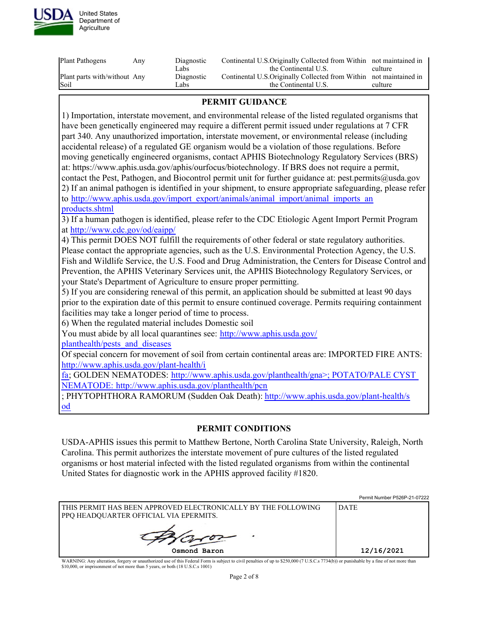

| Continental U.S.Originally Collected from Within not maintained in<br>Plant parts with/without Any<br>Diagnostic<br>Soil<br>Labs<br>the Continental U.S.<br>culture | Plant Pathogens | Anv | Diagnostic<br>Labs | Continental U.S.Originally Collected from Within not maintained in<br>the Continental U.S. | culture |
|---------------------------------------------------------------------------------------------------------------------------------------------------------------------|-----------------|-----|--------------------|--------------------------------------------------------------------------------------------|---------|
|                                                                                                                                                                     |                 |     |                    |                                                                                            |         |
|                                                                                                                                                                     |                 |     |                    |                                                                                            |         |

## **PERMIT GUIDANCE**

1) Importation, interstate movement, and environmental release of the listed regulated organisms that have been genetically engineered may require a different permit issued under regulations at 7 CFR part 340. Any unauthorized importation, interstate movement, or environmental release (including accidental release) of a regulated GE organism would be a violation of those regulations. Before moving genetically engineered organisms, contact APHIS Biotechnology Regulatory Services (BRS) at: https://www.aphis.usda.gov/aphis/ourfocus/biotechnology. If BRS does not require a permit, contact the Pest, Pathogen, and Biocontrol permit unit for further guidance at: pest.permits@usda.gov 2) If an animal pathogen is identified in your shipment, to ensure appropriate safeguarding, please refer to [http://www.aphis.usda.gov/import\\_export/animals/animal\\_import/animal\\_imports\\_an](http://www.aphis.usda.gov/import_export/animals/animal_import/animal_imports_anprodu<br/>cts.shtml) [products.shtml](http://www.aphis.usda.gov/import_export/animals/animal_import/animal_imports_anprodu<br/>cts.shtml)

3) If a human pathogen is identified, please refer to the CDC Etiologic Agent Import Permit Program at <http://www.cdc.gov/od/eaipp/>

4) This permit DOES NOT fulfill the requirements of other federal or state regulatory authorities. Please contact the appropriate agencies, such as the U.S. Environmental Protection Agency, the U.S. Fish and Wildlife Service, the U.S. Food and Drug Administration, the Centers for Disease Control and Prevention, the APHIS Veterinary Services unit, the APHIS Biotechnology Regulatory Services, or your State's Department of Agriculture to ensure proper permitting.

5) If you are considering renewal of this permit, an application should be submitted at least 90 days prior to the expiration date of this permit to ensure continued coverage. Permits requiring containment facilities may take a longer period of time to process.

6) When the regulated material includes Domestic soil

You must abide by all local quarantines see: [http://www.aphis.usda.gov/](http://www.aphis.usda.gov/planthealth/pests_and_diseases)

[planthealth/pests\\_and\\_diseases](http://www.aphis.usda.gov/planthealth/pests_and_diseases)

Of special concern for movement of soil from certain continental areas are: IMPORTED FIRE ANTS: [http://www.aphis.usda.gov/plant-health/i](http://www.aphis.usda.gov/plant-health/ifa)

[fa](http://www.aphis.usda.gov/plant-health/ifa); GOLDEN NEMATODES: [http://www.aphis.usda.gov/planthealth/gna>; POTATO/PALE CYST](http://www.aphis.usda.gov/planthealth/gn) [NEMATODE:](http://www.aphis.usda.gov/planthealth/gn) <http://www.aphis.usda.gov/planthealth/pcn>

; PHYTOPHTHORA RAMORUM (Sudden Oak Death): [http://www.aphis.usda.gov/plant-health/s](http://www.aphis.usda.gov/plant-health/sod) [od](http://www.aphis.usda.gov/plant-health/sod)

## **PERMIT CONDITIONS**

USDA-APHIS issues this permit to Matthew Bertone, North Carolina State University, Raleigh, North Carolina. This permit authorizes the interstate movement of pure cultures of the listed regulated organisms or host material infected with the listed regulated organisms from within the continental United States for diagnostic work in the APHIS approved facility #1820.

|                                                                                                           | Permit Number P526P-21-07222 |
|-----------------------------------------------------------------------------------------------------------|------------------------------|
| I THIS PERMIT HAS BEEN APPROVED ELECTRONICALLY BY THE FOLLOWING<br>PPQ HEADQUARTER OFFICIAL VIA EPERMITS. | <b>DATE</b>                  |
|                                                                                                           |                              |
| Osmond Baron                                                                                              | 12/16/2021                   |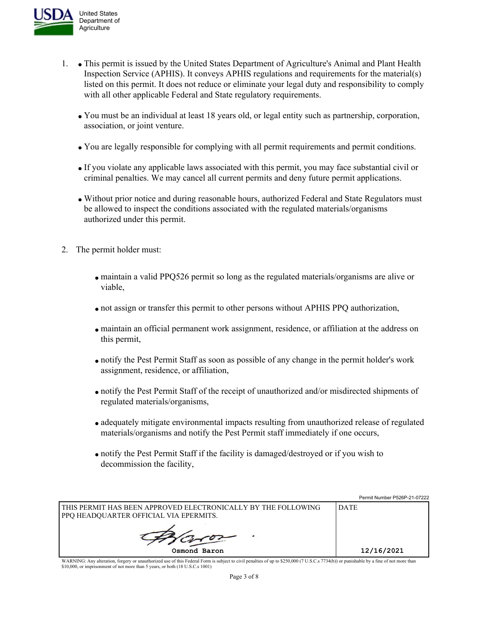

- 1. This permit is issued by the United States Department of Agriculture's Animal and Plant Health Inspection Service (APHIS). It conveys APHIS regulations and requirements for the material(s) listed on this permit. It does not reduce or eliminate your legal duty and responsibility to comply with all other applicable Federal and State regulatory requirements.
	- You must be an individual at least 18 years old, or legal entity such as partnership, corporation, association, or joint venture.
	- You are legally responsible for complying with all permit requirements and permit conditions.
	- If you violate any applicable laws associated with this permit, you may face substantial civil or criminal penalties. We may cancel all current permits and deny future permit applications.
	- Without prior notice and during reasonable hours, authorized Federal and State Regulators must be allowed to inspect the conditions associated with the regulated materials/organisms authorized under this permit.
- 2. The permit holder must:
	- maintain a valid PPQ526 permit so long as the regulated materials/organisms are alive or viable,
	- not assign or transfer this permit to other persons without APHIS PPQ authorization,
	- maintain an official permanent work assignment, residence, or affiliation at the address on this permit,
	- notify the Pest Permit Staff as soon as possible of any change in the permit holder's work assignment, residence, or affiliation,
	- notify the Pest Permit Staff of the receipt of unauthorized and/or misdirected shipments of regulated materials/organisms,
	- adequately mitigate environmental impacts resulting from unauthorized release of regulated materials/organisms and notify the Pest Permit staff immediately if one occurs,
	- notify the Pest Permit Staff if the facility is damaged/destroyed or if you wish to decommission the facility,

|                                                                 | Permit Number P526P-21-07222 |
|-----------------------------------------------------------------|------------------------------|
| I THIS PERMIT HAS BEEN APPROVED ELECTRONICALLY BY THE FOLLOWING | <b>DATE</b>                  |
| PPQ HEADQUARTER OFFICIAL VIA EPERMITS.                          |                              |
|                                                                 |                              |
|                                                                 |                              |
| Osmond Baron                                                    | 12/16/2021                   |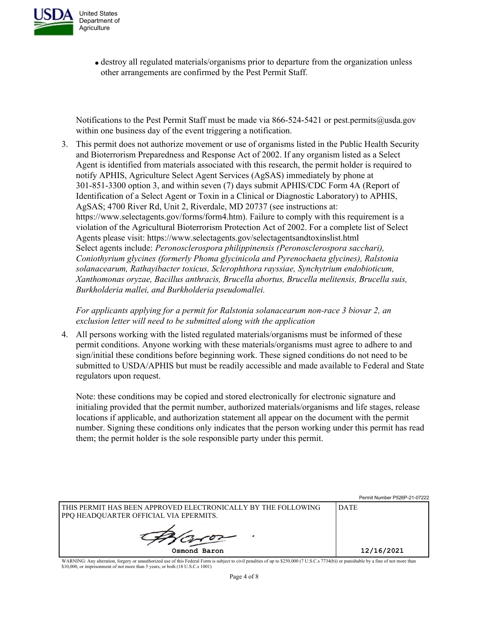

destroy all regulated materials/organisms prior to departure from the organization unless other arrangements are confirmed by the Pest Permit Staff.

Notifications to the Pest Permit Staff must be made via 866-524-5421 or pest.permits@usda.gov within one business day of the event triggering a notification.

3. This permit does not authorize movement or use of organisms listed in the Public Health Security and Bioterrorism Preparedness and Response Act of 2002. If any organism listed as a Select Agent is identified from materials associated with this research, the permit holder is required to notify APHIS, Agriculture Select Agent Services (AgSAS) immediately by phone at 301-851-3300 option 3, and within seven (7) days submit APHIS/CDC Form 4A (Report of Identification of a Select Agent or Toxin in a Clinical or Diagnostic Laboratory) to APHIS, AgSAS; 4700 River Rd, Unit 2, Riverdale, MD 20737 (see instructions at: https://www.selectagents.gov/forms/form4.htm). Failure to comply with this requirement is a violation of the Agricultural Bioterrorism Protection Act of 2002. For a complete list of Select Agents please visit: https://www.selectagents.gov/selectagentsandtoxinslist.html Select agents include: *Peronosclerospora philippinensis (Peronosclerospora sacchari), Coniothyrium glycines (formerly Phoma glycinicola and Pyrenochaeta glycines), Ralstonia solanacearum, Rathayibacter toxicus, Sclerophthora rayssiae, Synchytrium endobioticum, Xanthomonas oryzae, Bacillus anthracis, Brucella abortus, Brucella melitensis, Brucella suis, Burkholderia mallei, and Burkholderia pseudomallei.*

*For applicants applying for a permit for Ralstonia solanacearum non-race 3 biovar 2, an exclusion letter will need to be submitted along with the application* 

4. All persons working with the listed regulated materials/organisms must be informed of these permit conditions. Anyone working with these materials/organisms must agree to adhere to and sign/initial these conditions before beginning work. These signed conditions do not need to be submitted to USDA/APHIS but must be readily accessible and made available to Federal and State regulators upon request.

Note: these conditions may be copied and stored electronically for electronic signature and initialing provided that the permit number, authorized materials/organisms and life stages, release locations if applicable, and authorization statement all appear on the document with the permit number. Signing these conditions only indicates that the person working under this permit has read them; the permit holder is the sole responsible party under this permit.

|                                                                                                           | Permit Number P526P-21-07222 |
|-----------------------------------------------------------------------------------------------------------|------------------------------|
| THIS PERMIT HAS BEEN APPROVED ELECTRONICALLY BY THE FOLLOWING<br>  PPQ HEADQUARTER OFFICIAL VIA EPERMITS. | <b>DATE</b>                  |
|                                                                                                           |                              |
| Osmond Baron                                                                                              | 12/16/2021                   |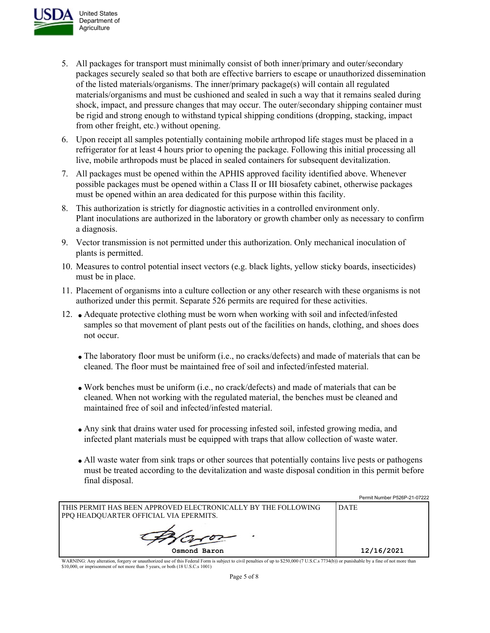

- United States Department of **Agriculture**
- 5. All packages for transport must minimally consist of both inner/primary and outer/secondary packages securely sealed so that both are effective barriers to escape or unauthorized dissemination of the listed materials/organisms. The inner/primary package(s) will contain all regulated materials/organisms and must be cushioned and sealed in such a way that it remains sealed during shock, impact, and pressure changes that may occur. The outer/secondary shipping container must be rigid and strong enough to withstand typical shipping conditions (dropping, stacking, impact from other freight, etc.) without opening.
- 6. Upon receipt all samples potentially containing mobile arthropod life stages must be placed in a refrigerator for at least 4 hours prior to opening the package. Following this initial processing all live, mobile arthropods must be placed in sealed containers for subsequent devitalization.
- 7. All packages must be opened within the APHIS approved facility identified above. Whenever possible packages must be opened within a Class II or III biosafety cabinet, otherwise packages must be opened within an area dedicated for this purpose within this facility.
- 8. This authorization is strictly for diagnostic activities in a controlled environment only. Plant inoculations are authorized in the laboratory or growth chamber only as necessary to confirm a diagnosis.
- 9. Vector transmission is not permitted under this authorization. Only mechanical inoculation of plants is permitted.
- 10. Measures to control potential insect vectors (e.g. black lights, yellow sticky boards, insecticides) must be in place.
- 11. Placement of organisms into a culture collection or any other research with these organisms is not authorized under this permit. Separate 526 permits are required for these activities.
- 12. Adequate protective clothing must be worn when working with soil and infected/infested samples so that movement of plant pests out of the facilities on hands, clothing, and shoes does not occur.
	- The laboratory floor must be uniform (i.e., no cracks/defects) and made of materials that can be cleaned. The floor must be maintained free of soil and infected/infested material.
	- Work benches must be uniform (i.e., no crack/defects) and made of materials that can be cleaned. When not working with the regulated material, the benches must be cleaned and maintained free of soil and infected/infested material.
	- Any sink that drains water used for processing infested soil, infested growing media, and infected plant materials must be equipped with traps that allow collection of waste water.
	- All waste water from sink traps or other sources that potentially contains live pests or pathogens must be treated according to the devitalization and waste disposal condition in this permit before final disposal.

Permit Number P526P-21-07222

|                                                                                                         | I VIIIII I I VIIIII VLVI LI VILLL |
|---------------------------------------------------------------------------------------------------------|-----------------------------------|
| THIS PERMIT HAS BEEN APPROVED ELECTRONICALLY BY THE FOLLOWING<br>PPQ HEADQUARTER OFFICIAL VIA EPERMITS. | <b>DATE</b>                       |
|                                                                                                         |                                   |
| Osmond Baron                                                                                            | 12/16/2021                        |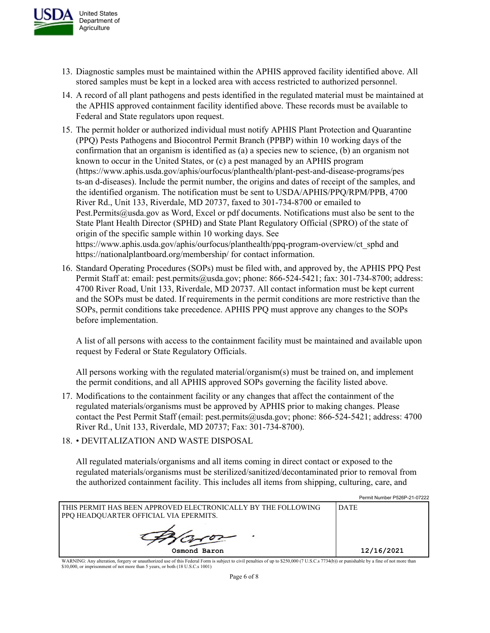

- 13. Diagnostic samples must be maintained within the APHIS approved facility identified above. All stored samples must be kept in a locked area with access restricted to authorized personnel.
- 14. A record of all plant pathogens and pests identified in the regulated material must be maintained at the APHIS approved containment facility identified above. These records must be available to Federal and State regulators upon request.
- 15. The permit holder or authorized individual must notify APHIS Plant Protection and Quarantine (PPQ) Pests Pathogens and Biocontrol Permit Branch (PPBP) within 10 working days of the confirmation that an organism is identified as (a) a species new to science, (b) an organism not known to occur in the United States, or (c) a pest managed by an APHIS program (https://www.aphis.usda.gov/aphis/ourfocus/planthealth/plant-pest-and-disease-programs/pes ts-an d-diseases). Include the permit number, the origins and dates of receipt of the samples, and the identified organism. The notification must be sent to USDA/APHIS/PPQ/RPM/PPB, 4700 River Rd., Unit 133, Riverdale, MD 20737, faxed to 301-734-8700 or emailed to Pest.Permits@usda.gov as Word, Excel or pdf documents. Notifications must also be sent to the State Plant Health Director (SPHD) and State Plant Regulatory Official (SPRO) of the state of origin of the specific sample within 10 working days. See https://www.aphis.usda.gov/aphis/ourfocus/planthealth/ppq-program-overview/ct\_sphd and https://nationalplantboard.org/membership/ for contact information.
- 16. Standard Operating Procedures (SOPs) must be filed with, and approved by, the APHIS PPQ Pest Permit Staff at: email: pest.permits@usda.gov; phone: 866-524-5421; fax: 301-734-8700; address: 4700 River Road, Unit 133, Riverdale, MD 20737. All contact information must be kept current and the SOPs must be dated. If requirements in the permit conditions are more restrictive than the SOPs, permit conditions take precedence. APHIS PPQ must approve any changes to the SOPs before implementation.

A list of all persons with access to the containment facility must be maintained and available upon request by Federal or State Regulatory Officials.

All persons working with the regulated material/organism(s) must be trained on, and implement the permit conditions, and all APHIS approved SOPs governing the facility listed above.

- 17. Modifications to the containment facility or any changes that affect the containment of the regulated materials/organisms must be approved by APHIS prior to making changes. Please contact the Pest Permit Staff (email: pest.permits@usda.gov; phone: 866-524-5421; address: 4700 River Rd., Unit 133, Riverdale, MD 20737; Fax: 301-734-8700).
- 18. DEVITALIZATION AND WASTE DISPOSAL

All regulated materials/organisms and all items coming in direct contact or exposed to the regulated materials/organisms must be sterilized/sanitized/decontaminated prior to removal from the authorized containment facility. This includes all items from shipping, culturing, care, and

Permit Number P526P-21-07222

| I THIS PERMIT HAS BEEN APPROVED ELECTRONICALLY BY THE FOLLOWING.<br>PPO HEADOUARTER OFFICIAL VIA EPERMITS. | <b>DATE</b> |
|------------------------------------------------------------------------------------------------------------|-------------|
|                                                                                                            |             |
| Osmond Baron                                                                                               | 12/16/2021  |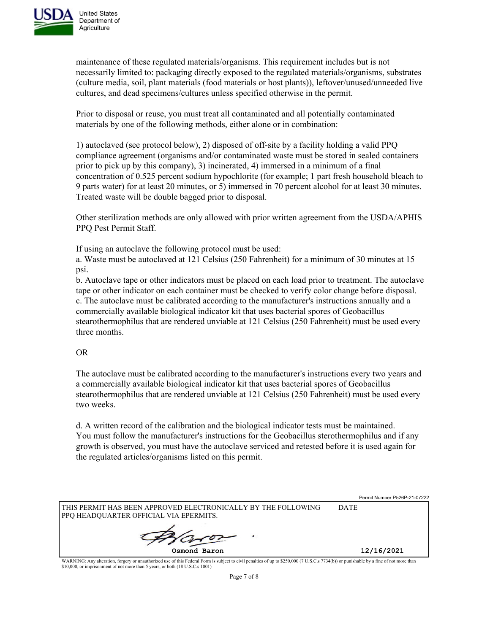

maintenance of these regulated materials/organisms. This requirement includes but is not necessarily limited to: packaging directly exposed to the regulated materials/organisms, substrates (culture media, soil, plant materials (food materials or host plants)), leftover/unused/unneeded live cultures, and dead specimens/cultures unless specified otherwise in the permit.

Prior to disposal or reuse, you must treat all contaminated and all potentially contaminated materials by one of the following methods, either alone or in combination:

1) autoclaved (see protocol below), 2) disposed of off-site by a facility holding a valid PPQ compliance agreement (organisms and/or contaminated waste must be stored in sealed containers prior to pick up by this company), 3) incinerated, 4) immersed in a minimum of a final concentration of 0.525 percent sodium hypochlorite (for example; 1 part fresh household bleach to 9 parts water) for at least 20 minutes, or 5) immersed in 70 percent alcohol for at least 30 minutes. Treated waste will be double bagged prior to disposal.

Other sterilization methods are only allowed with prior written agreement from the USDA/APHIS PPQ Pest Permit Staff.

If using an autoclave the following protocol must be used:

a. Waste must be autoclaved at 121 Celsius (250 Fahrenheit) for a minimum of 30 minutes at 15 psi.

b. Autoclave tape or other indicators must be placed on each load prior to treatment. The autoclave tape or other indicator on each container must be checked to verify color change before disposal. c. The autoclave must be calibrated according to the manufacturer's instructions annually and a commercially available biological indicator kit that uses bacterial spores of Geobacillus stearothermophilus that are rendered unviable at 121 Celsius (250 Fahrenheit) must be used every three months.

## OR

The autoclave must be calibrated according to the manufacturer's instructions every two years and a commercially available biological indicator kit that uses bacterial spores of Geobacillus stearothermophilus that are rendered unviable at 121 Celsius (250 Fahrenheit) must be used every two weeks.

d. A written record of the calibration and the biological indicator tests must be maintained. You must follow the manufacturer's instructions for the Geobacillus sterothermophilus and if any growth is observed, you must have the autoclave serviced and retested before it is used again for the regulated articles/organisms listed on this permit.

|                                                                                                           | Permit Number P320P-21-07222 |
|-----------------------------------------------------------------------------------------------------------|------------------------------|
| I THIS PERMIT HAS BEEN APPROVED ELECTRONICALLY BY THE FOLLOWING<br>PPO HEADOUARTER OFFICIAL VIA EPERMITS. | <b>DATE</b>                  |
|                                                                                                           |                              |
| Osmond Baron                                                                                              | 12/16/2021                   |

Permit Number P526P-21-07222